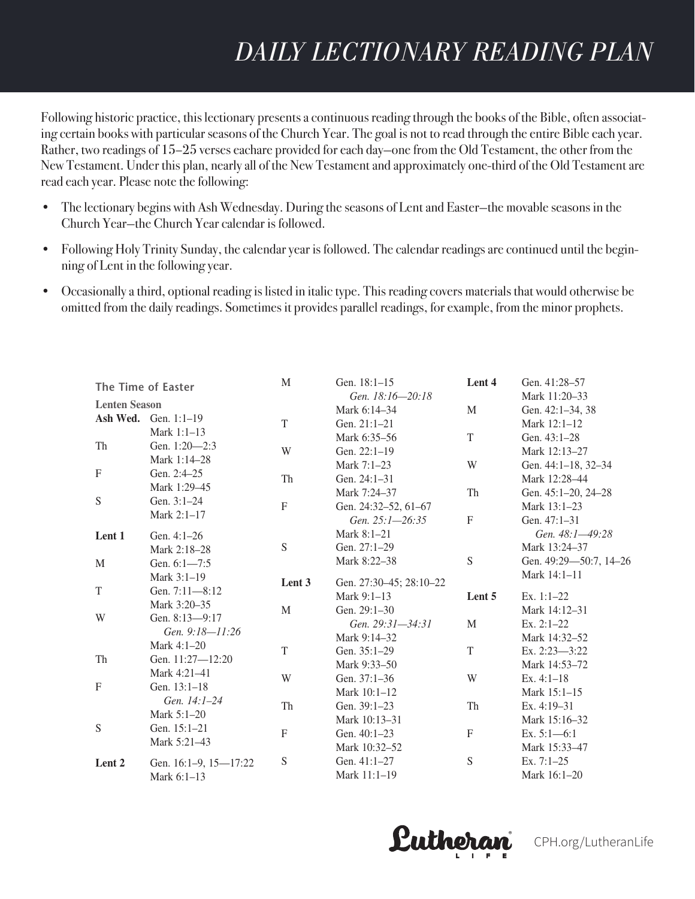# *DAILY LECTIONARY READING PLAN Following historic practice, this lectionary presents a continuous reading through the books of*

Following historic practice, this lectionary presents a continuous reading through the books of the Bible, often associating certain books with particular seasons of the Church Year. The goal is not to read through the entire Bible each year. Rather, two readings of 15–25 verses eachare provided for each day—one from the Old Testament, the other from the New Testament. Under this plan, nearly all of the New Testament and approximately one-third of the Old Testament are New Testament are reading to the Old Testament are reading to the Old Testament are reading to the Old Te read each year. Please note the following:

*is not to read through the entire Bible each year. Rather, two readings of 15–25 verses each*

- The lectionary begins with Ash Wednesday. During the seasons of Lent and Easter—the movable seasons in the Church Year—the Church Year calendar is followed. *movable seasons in the Church Year—the Church Year calendar is followed. • Following Holy Trinity Sunday, the calendar year is followed. The calendar readings are*
- Following Holy Trinity Sunday, the calendar year is followed. The calendar readings are continued until the beginning of Lent in the following year. *th* the data who wing from the daily readings. Sometimes parallel
- Occasionally a third, optional reading is listed in italic type. This reading covers materials that would otherwise be omitted from the daily readings. Sometimes it provides parallel readings, for example, from the minor prophets.

| The Time of Easter   |                       | $\mathbf M$ | Gen. 18:1-15<br>Gen. 18:16-20:18 | Lent 4                    | Gen. 41:28-57<br>Mark 11:20-33 |
|----------------------|-----------------------|-------------|----------------------------------|---------------------------|--------------------------------|
| <b>Lenten Season</b> |                       |             | Mark 6:14-34                     | M                         | Gen. 42:1-34, 38               |
|                      | Ash Wed. Gen. 1:1-19  | T           | Gen. 21:1-21                     |                           | Mark 12:1-12                   |
|                      | Mark 1:1-13           |             | Mark 6:35-56                     | T                         | Gen. 43:1-28                   |
| Th                   | Gen. 1:20-2:3         | W           | Gen. 22:1-19                     |                           | Mark 12:13-27                  |
|                      | Mark 1:14-28          |             | Mark 7:1-23                      | W                         | Gen. 44:1-18, 32-34            |
| F                    | Gen. 2:4-25           | Th          | Gen. 24:1-31                     |                           | Mark 12:28-44                  |
|                      | Mark 1:29-45          |             | Mark 7:24-37                     | Th                        | Gen. 45:1-20, 24-28            |
| S                    | Gen. 3:1-24           | ${\bf F}$   | Gen. 24:32-52, 61-67             |                           | Mark 13:1-23                   |
|                      | Mark 2:1-17           |             | Gen. 25:1-26:35                  | ${\bf F}$                 | Gen. 47:1-31                   |
| Lent 1               | Gen. 4:1-26           |             | Mark 8:1-21                      |                           | Gen. 48:1-49:28                |
|                      | Mark 2:18-28          | S           | Gen. 27:1-29                     |                           | Mark 13:24-37                  |
| M                    | Gen. $6:1 - 7:5$      |             | Mark 8:22-38                     | ${\mathbf S}$             | Gen. 49:29-50:7, 14-26         |
|                      | Mark 3:1-19           | Lent 3      | Gen. 27:30-45; 28:10-22          |                           | Mark 14:1-11                   |
| T                    | Gen. 7:11-8:12        |             | Mark 9:1-13                      | Lent 5                    | Ex. $1:1-22$                   |
|                      | Mark 3:20–35          | M           | Gen. 29:1-30                     |                           | Mark 14:12-31                  |
| W                    | Gen. 8:13-9:17        |             | Gen. 29:31-34:31                 | M                         | Ex. $2:1-22$                   |
|                      | Gen. 9:18-11:26       |             | Mark 9:14–32                     |                           | Mark 14:32-52                  |
|                      | Mark 4:1-20           | T           | Gen. 35:1-29                     | T                         | Ex. 2:23-3:22                  |
| Th                   | Gen. 11:27-12:20      |             | Mark 9:33-50                     |                           | Mark 14:53-72                  |
|                      | Mark 4:21-41          | W           | Gen. 37:1-36                     | W                         | Ex. $4:1-18$                   |
| F                    | Gen. 13:1-18          |             | Mark 10:1-12                     |                           | Mark 15:1-15                   |
|                      | Gen. 14:1-24          | Th          | Gen. 39:1-23                     | Th                        | Ex. $4:19-31$                  |
|                      | Mark 5:1-20           |             | Mark 10:13-31                    |                           | Mark 15:16-32                  |
| S                    | Gen. 15:1-21          | ${\bf F}$   | Gen. 40:1-23                     | $\boldsymbol{\mathrm{F}}$ | Ex. $5:1-6:1$                  |
|                      | Mark 5:21-43          |             | Mark 10:32-52                    |                           | Mark 15:33-47                  |
| Lent 2               | Gen. 16:1-9, 15-17:22 | S           | Gen. 41:1-27                     | ${\bf S}$                 | Ex. $7:1-25$                   |
|                      | Mark 6:1-13           |             | Mark 11:1-19                     |                           | Mark 16:1-20                   |

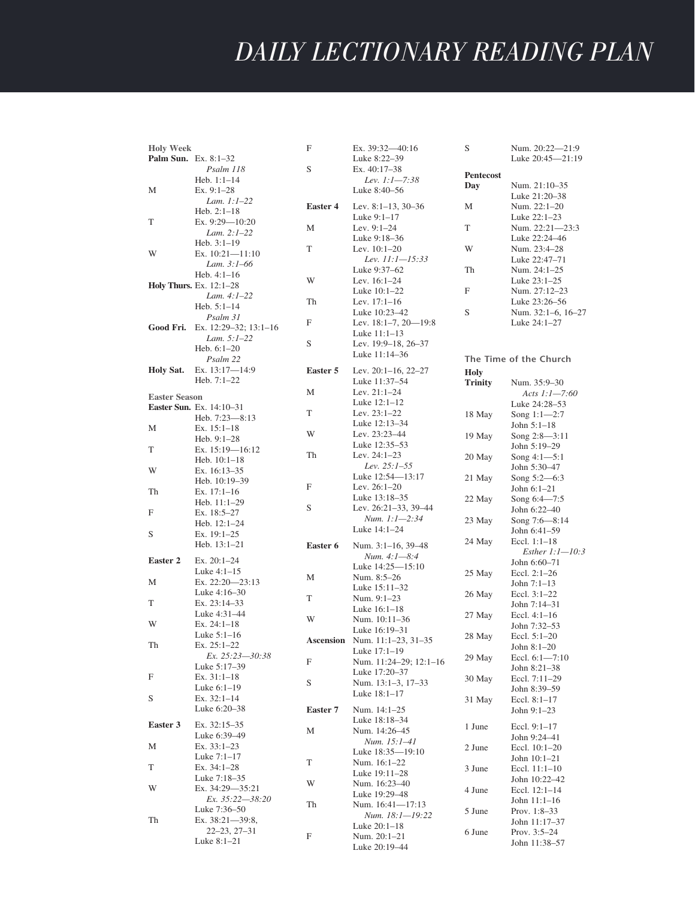| <b>Holy Week</b>     |                                      | F               | Ex. 39:32-40:16                      | S              | Num. 20:22-21:9                    |
|----------------------|--------------------------------------|-----------------|--------------------------------------|----------------|------------------------------------|
| Palm Sun. Ex. 8:1-32 |                                      |                 | Luke 8:22-39                         |                | Luke 20:45-21:19                   |
|                      | Psalm 118                            | S               | Ex. 40:17-38                         | Pentecost      |                                    |
|                      | Heb. $1:1-14$                        |                 | Lev. 1:1-7:38                        |                | Num. 21:10-35                      |
| М                    | Ex. $9:1-28$                         |                 | Luke 8:40-56                         | Day            | Luke 21:20-38                      |
|                      | Lam. $1:1-22$                        | <b>Easter 4</b> | Lev. $8:1-13$ , $30-36$              | М              | Num. 22:1-20                       |
|                      | Heb. $2:1-18$                        |                 | Luke $9:1-17$                        |                | Luke $22:1-23$                     |
| T                    | Ex. 9:29-10:20                       | М               | Lev. $9:1-24$                        | T              | Num. 22:21-23:3                    |
|                      | Lam. 2:1-22                          |                 | Luke 9:18-36                         |                | Luke 22:24-46                      |
|                      | Heb. $3:1-19$                        | T               | Lev. $10:1-20$                       | W              | Num. 23:4-28                       |
| W                    | Ex. $10:21 - 11:10$                  |                 | Lev. 11:1-15:33                      |                | Luke 22:47-71                      |
|                      | Lam. 3:1-66                          |                 | Luke 9:37–62                         | Th             | Num. 24:1-25                       |
|                      | Heb. $4:1-16$                        | W               | Lev. $16:1-24$                       |                | Luke 23:1-25                       |
|                      | <b>Holy Thurs.</b> Ex. 12:1-28       |                 | Luke 10:1-22                         | F              | Num. 27:12-23                      |
|                      | Lam. 4:1-22                          | Th              | Lev. 17:1-16                         |                | Luke 23:26-56                      |
|                      | Heb. $5:1-14$                        |                 | Luke 10:23-42                        | S              | Num. 32:1–6, 16–27                 |
|                      | Psalm 31                             | F               | Lev. $18:1-7$ , $20-19:8$            |                | Luke 24:1-27                       |
| Good Fri.            | Ex. 12:29-32; 13:1-16<br>Lam. 5:1-22 |                 | Luke $11:1-13$                       |                |                                    |
|                      | Heb. $6:1-20$                        | S               | Lev. 19:9–18, 26–37                  |                |                                    |
|                      | Psalm 22                             |                 | Luke 11:14-36                        |                | The Time of the Church             |
| Holy Sat.            | Ex. 13:17-14:9                       | Easter 5        | Lev. 20:1-16, 22-27                  |                |                                    |
|                      | Heb. 7:1-22                          |                 | Luke 11:37-54                        | <b>Holy</b>    |                                    |
|                      |                                      | M               | Lev. 21:1-24                         | <b>Trinity</b> | Num. 35:9-30                       |
| <b>Easter Season</b> |                                      |                 | Luke 12:1-12                         |                | Acts $1:1 - 7:60$<br>Luke 24:28-53 |
|                      | Easter Sun. Ex. 14:10-31             | T               | Lev. $23:1-22$                       |                |                                    |
|                      | Heb. 7:23-8:13                       |                 | Luke 12:13-34                        | 18 May         | Song $1:1-2:7$<br>John $5:1-18$    |
| М                    | Ex. $15:1-18$                        | W               | Lev. 23:23-44                        | 19 May         | Song $2:8 - 3:11$                  |
|                      | Heb. $9:1-28$                        |                 | Luke 12:35–53                        |                | John 5:19–29                       |
| T                    | Ex. $15:19 - 16:12$                  | Th              | Lev. 24:1-23                         | 20 May         | Song $4:1-5:1$                     |
|                      | Heb. $10:1-18$                       |                 | Lev. $25:1-55$                       |                | John 5:30–47                       |
| W                    | Ex. $16:13-35$                       |                 | Luke 12:54-13:17                     | 21 May         | Song $5:2 - 6:3$                   |
|                      | Heb. 10:19-39                        | F               | Lev. 26:1-20                         |                | John $6:1-21$                      |
| Th                   | Ex. $17:1-16$                        |                 | Luke 13:18–35                        | 22 May         | Song 6:4-7:5                       |
|                      | Heb. $11:1-29$                       | S               | Lev. 26:21-33, 39-44                 |                | John 6:22–40                       |
| F                    | Ex. 18:5-27                          |                 | Num. 1:1-2:34                        | 23 May         | Song 7:6—8:14                      |
| S                    | Heb. $12:1-24$                       |                 | Luke 14:1-24                         |                | John 6:41-59                       |
|                      | Ex. $19:1-25$<br>Heb. $13:1-21$      |                 |                                      | 24 May         | Eccl. $1:1-18$                     |
|                      |                                      | Easter 6        | Num. 3:1-16, 39-48                   |                | Esther $1:1 - 10:3$                |
| Easter 2             | Ex. 20:1-24                          |                 | Num. 4:1-8:4<br>Luke 14:25-15:10     |                | John 6:60-71                       |
|                      | Luke $4:1-15$                        | М               | Num. 8:5-26                          | 25 May         | Eccl. $2:1-26$                     |
| М                    | Ex. 22:20-23:13                      |                 | Luke 15:11-32                        |                | John $7:1-13$                      |
|                      | Luke 4:16-30                         | T               | Num. 9:1-23                          | 26 May         | Eccl. 3:1-22                       |
| T                    | Ex. 23:14-33                         |                 | Luke 16:1-18                         |                | John 7:14-31                       |
|                      | Luke 4:31-44                         | W               | Num. 10:11-36                        | 27 May         | Eccl. $4:1-16$                     |
| W                    | Ex. $24:1-18$                        |                 | Luke 16:19-31                        |                | John 7:32–53                       |
|                      | Luke $5:1-16$                        |                 | <b>Ascension</b> Num. 11:1-23, 31-35 | 28 May         | Eccl. $5:1-20$                     |
| Th                   | Ex. $25:1-22$                        |                 | Luke 17:1-19                         |                | John $8:1-20$                      |
|                      | Ex. 25:23-30:38                      | F               | Num. 11:24-29; 12:1-16               | 29 May         | Eccl. 6:1-7:10                     |
|                      | Luke 5:17–39                         |                 | Luke 17:20-37                        |                | John 8:21-38                       |
| F                    | Ex. $31:1-18$                        | S               | Num. 13:1-3, 17-33                   | 30 May         | Eccl. 7:11-29                      |
|                      | Luke $6:1-19$                        |                 | Luke 18:1-17                         |                | John 8:39–59                       |
| S                    | Ex. $32:1-14$<br>Luke 6:20-38        |                 |                                      | 31 May         | Eccl. $8:1-17$                     |
|                      |                                      | Easter 7        | Num. 14:1-25                         |                | John $9:1-23$                      |
| Easter 3             | Ex. 32:15-35                         |                 | Luke 18:18–34                        | 1 June         | Eccl. $9:1-17$                     |
|                      | Luke 6:39-49                         | М               | Num. 14:26-45                        |                | John 9:24-41                       |
| М                    | Ex. $33:1-23$                        |                 | Num. 15:1–41<br>Luke 18:35-19:10     | 2 June         | Eccl. 10:1-20                      |
|                      | Luke 7:1-17                          | T               | Num. 16:1-22                         |                | John $10:1-21$                     |
| T                    | Ex. 34:1-28                          |                 | Luke 19:11-28                        | 3 June         | Eccl. $11:1-10$                    |
|                      | Luke 7:18–35                         | W               | Num. 16:23-40                        |                | John 10:22-42                      |
| W                    | Ex. 34:29-35:21                      |                 | Luke 19:29-48                        | 4 June         | Eccl. $12:1-14$                    |
|                      | Ex. 35:22-38:20                      | Th              | Num. 16:41-17:13                     |                | John 11:1-16                       |
|                      | Luke 7:36–50                         |                 | Num. 18:1-19:22                      | 5 June         | Prov. $1:8-33$                     |
| Th                   | Ex. 38:21-39:8,                      |                 | Luke $20:1-18$                       |                | John 11:17–37                      |
|                      | $22 - 23, 27 - 31$                   | F               | Num. 20:1-21                         | 6 June         | Prov. $3:5-24$                     |
|                      | Luke $8:1-21$                        |                 | Luke 20:19–44                        |                | John 11:38–57                      |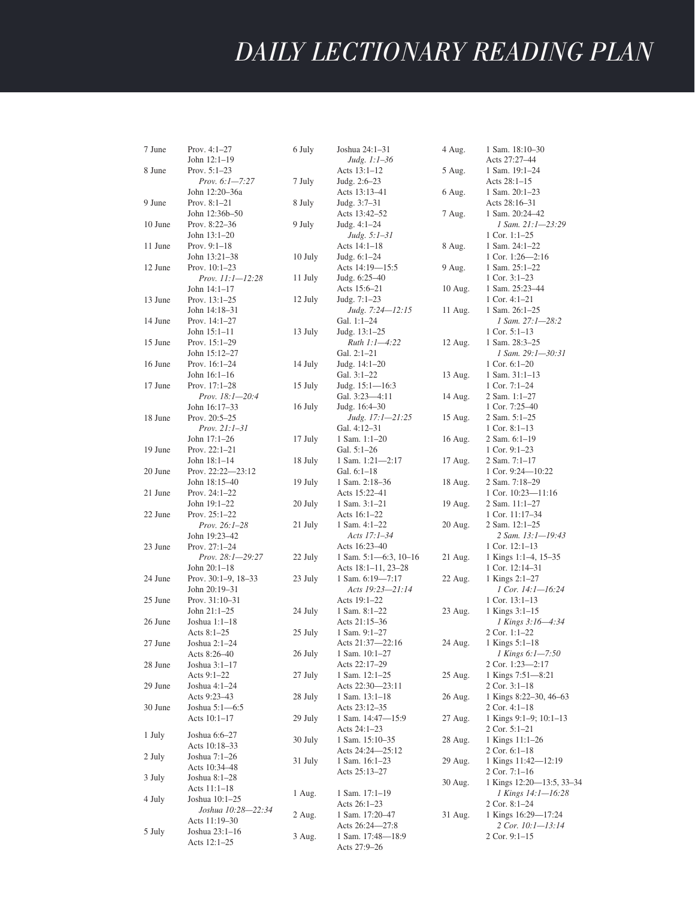| 7 June  | Prov. 4:1-27             | 6 July  | Joshua 24:1-31             | 4 Aug.  | 1 Sam. 18:10-30             |
|---------|--------------------------|---------|----------------------------|---------|-----------------------------|
|         | John 12:1-19             |         | Judg. 1:1–36               |         | Acts 27:27-44               |
| 8 June  | Prov. $5:1-23$           |         | Acts $13:1-12$             | 5 Aug.  | 1 Sam. 19:1-24              |
|         | Prov. 6:1-7:27           | 7 July  | Judg. $2:6-23$             |         | Acts $28:1-15$              |
|         | John 12:20–36a           |         | Acts 13:13-41              | 6 Aug.  | 1 Sam. $20:1-23$            |
| 9 June  | Prov. $8:1-21$           | 8 July  | Judg. 3:7–31               |         | Acts 28:16-31               |
|         | John 12:36b-50           |         | Acts 13:42–52              | 7 Aug.  | 1 Sam. 20:24-42             |
| 10 June | Prov. 8:22-36            | 9 July  | Judg. $4:1-24$             |         | 1 Sam. 21:1-23:29           |
|         | John $13:1-20$           |         | Judg. 5:1–31               |         | 1 Cor. $1:1-25$             |
| 11 June | Prov. $9:1-18$           |         | Acts 14:1-18               | 8 Aug.  | 1 Sam. 24:1-22              |
|         | John 13:21-38            | 10 July | Judg. 6:1-24               |         | 1 Cor. $1:26 - 2:16$        |
| 12 June | Prov. $10:1-23$          |         | Acts 14:19—15:5            | 9 Aug.  | 1 Sam. 25:1-22              |
|         | <i>Prov. 11:1-12:28</i>  | 11 July | Judg. 6:25–40              |         | 1 Cor. $3:1-23$             |
|         | John 14:1-17             |         | Acts 15:6–21               | 10 Aug. | 1 Sam. 25:23-44             |
| 13 June | Prov. $13:1-25$          | 12 July | Judg. $7:1-23$             |         | $1$ Cor. $4:1-21$           |
|         | John 14:18-31            |         | Judg. 7:24-12:15           | 11 Aug. | 1 Sam. $26:1-25$            |
| 14 June | Prov. $14:1-27$          |         | Gal. 1:1-24                |         | 1 Sam. 27:1-28:2            |
|         | John $15:1 - 11$         | 13 July | Judg. 13:1–25              |         | 1 Cor. $5:1-13$             |
| 15 June | Prov. $15:1-29$          |         | Ruth 1:1-4:22              | 12 Aug. | 1 Sam. 28:3-25              |
|         | John 15:12-27            |         | Gal. 2:1-21                |         | 1 Sam. 29:1-30:31           |
| 16 June | Prov. 16:1-24            | 14 July | Judg. 14:1–20              |         | 1 Cor. $6:1-20$             |
|         | John 16:1-16             |         | Gal. 3:1-22                | 13 Aug. | $1$ Sam. $31:1-13$          |
| 17 June | Prov. 17:1-28            | 15 July | Judg. $15:1 - 16:3$        |         | 1 Cor. $7:1-24$             |
|         | <i>Prov.</i> 18:1-20:4   |         | Gal. 3:23-4:11             | 14 Aug. | $2$ Sam. 1:1-27             |
|         | John 16:17–33            | 16 July | Judg. 16:4–30              |         | 1 Cor. 7:25-40              |
| 18 June | Prov. 20:5-25            |         | Judg. 17:1-21:25           | 15 Aug. | 2 Sam. $5:1-25$             |
|         | $Prov. 21:1-31$          |         | Gal. 4:12–31               |         | 1 Cor. $8:1-13$             |
|         | John 17:1-26             | 17 July | 1 Sam. 1:1-20              | 16 Aug. | 2 Sam. $6:1-19$             |
| 19 June | Prov. 22:1-21            |         | Gal. 5:1-26                |         | 1 Cor. 9:1-23               |
|         | John 18:1-14             | 18 July | 1 Sam. 1:21-2:17           | 17 Aug. | 2 Sam. 7:1-17               |
| 20 June | Prov. 22:22-23:12        |         | Gal. 6:1-18                |         | 1 Cor. $9:24 - 10:22$       |
|         | John 18:15-40            | 19 July | 1 Sam. 2:18-36             | 18 Aug. | 2 Sam. 7:18-29              |
| 21 June | Prov. 24:1-22            |         | Acts 15:22-41              |         | 1 Cor. 10:23-11:16          |
|         | John 19:1-22             | 20 July | 1 Sam. 3:1-21              | 19 Aug. | 2 Sam. 11:1-27              |
| 22 June | Prov. $25:1-22$          |         | Acts 16:1-22               |         | 1 Cor. 11:17-34             |
|         | <i>Prov.</i> $26:1-28$   | 21 July | 1 Sam. 4:1-22              | 20 Aug. | 2 Sam. 12:1-25              |
|         | John 19:23-42            |         | Acts 17:1–34               |         | 2 Sam. 13:1-19:43           |
| 23 June | Prov. $27:1 - 24$        |         | Acts 16:23-40              |         | 1 Cor. $12:1-13$            |
|         | Prov. $28:1 - 29:27$     | 22 July | 1 Sam. $5:1-6:3$ , $10-16$ | 21 Aug. | 1 Kings 1:1-4, 15-35        |
|         | John 20:1-18             |         | Acts 18:1-11, 23-28        |         | 1 Cor. 12:14-31             |
| 24 June | Prov. $30:1-9$ , $18-33$ | 23 July | 1 Sam. 6:19-7:17           | 22 Aug. | 1 Kings 2:1-27              |
|         | John 20:19–31            |         | Acts 19:23-21:14           |         | 1 Cor. 14:1-16:24           |
| 25 June | Prov. 31:10-31           |         | Acts 19:1-22               |         | 1 Cor. $13:1-13$            |
|         | John $21:1-25$           | 24 July | 1 Sam. 8:1-22              | 23 Aug. | 1 Kings 3:1-15              |
| 26 June | Joshua $1:1-18$          |         | Acts 21:15–36              |         | 1 Kings 3:16–4:34           |
|         | Acts $8:1-25$            | 25 July | 1 Sam. 9:1-27              |         | 2 Cor. 1:1-22               |
| 27 June | Joshua 2:1-24            |         | Acts 21:37-22:16           | 24 Aug. | 1 Kings 5:1–18              |
|         | Acts 8:26-40             | 26 July | 1 Sam. 10:1-27             |         | 1 Kings 6:1-7:50            |
| 28 June | Joshua 3:1–17            |         | Acts 22:17-29              |         | 2 Cor. $1:23 - 2:17$        |
|         | Acts 9:1-22              | 27 July | 1 Sam. 12:1-25             | 25 Aug. | 1 Kings 7:51-8:21           |
| 29 June | Joshua 4:1-24            |         | Acts 22:30-23:11           |         | $2$ Cor. $3:1-18$           |
|         | Acts 9:23–43             | 28 July | 1 Sam. 13:1-18             | 26 Aug. | 1 Kings 8:22–30, 46–63      |
| 30 June | Joshua 5:1-6:5           |         | Acts 23:12-35              |         | $2$ Cor. 4:1-18             |
|         | Acts $10:1-17$           | 29 July | 1 Sam. 14:47-15:9          | 27 Aug. | 1 Kings $9:1-9$ ; $10:1-13$ |
| 1 July  | Joshua 6:6-27            |         | Acts 24:1–23               |         | $2$ Cor. 5:1-21             |
|         | Acts 10:18–33            | 30 July | 1 Sam. 15:10-35            | 28 Aug. | 1 Kings 11:1-26             |
| 2 July  | Joshua 7:1–26            |         | Acts 24:24—25:12           |         | $2$ Cor. 6:1-18             |
|         | Acts 10:34–48            | 31 July | 1 Sam. 16:1-23             | 29 Aug. | 1 Kings 11:42-12:19         |
| 3 July  | Joshua 8:1–28            |         | Acts 25:13–27              |         | 2 Cor. 7:1-16               |
|         | Acts 11:1–18             |         |                            | 30 Aug. | 1 Kings 12:20-13:5, 33-34   |
| 4 July  | Joshua 10:1-25           | 1 Aug.  | 1 Sam. 17:1-19             |         | 1 Kings 14:1-16:28          |
|         | Joshua 10:28-22:34       |         | Acts 26:1–23               |         | $2$ Cor. $8:1-24$           |
|         | Acts 11:19–30            | 2 Aug.  | 1 Sam. 17:20-47            | 31 Aug. | 1 Kings 16:29-17:24         |
| 5 July  | Joshua 23:1-16           |         | Acts 26:24—27:8            |         | 2 Cor. 10:1-13:14           |
|         | Acts $12:1-25$           | 3 Aug.  | 1 Sam. 17:48-18:9          |         | 2 Cor. 9:1-15               |
|         |                          |         | Acts 27:9-26               |         |                             |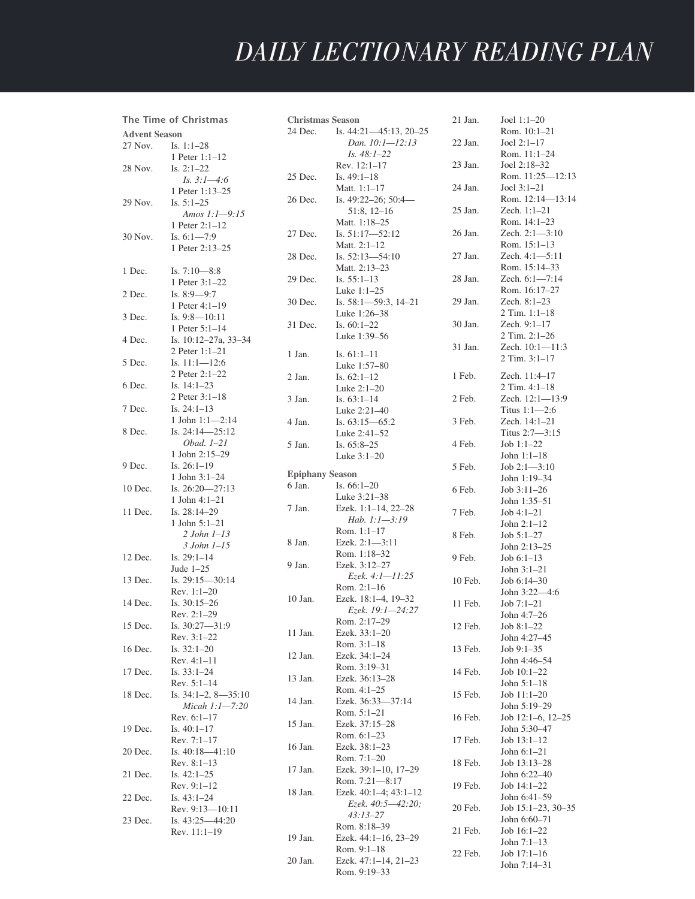DAILY LECTIONARY • **303**

| The Time of Christmas |                                | <b>Christmas Season</b> |                                  | 21 Jan. | Joel $1:1-20$                     |
|-----------------------|--------------------------------|-------------------------|----------------------------------|---------|-----------------------------------|
| <b>Advent Season</b>  |                                | 24 Dec.                 | Is. 44:21-45:13, 20-25           |         | Rom. 10:1-21                      |
| 27 Nov.               | Is. $1:1-28$                   |                         | Dan. 10:1-12:13                  | 22 Jan. | Joel $2:1-17$                     |
|                       | 1 Peter 1:1-12                 |                         | <i>Is.</i> $48:1-22$             |         | Rom. 11:1-24                      |
| 28 Nov.               | Is. $2:1-22$                   |                         | Rev. 12:1-17                     | 23 Jan. | Joel 2:18-32                      |
|                       | Is. $3:1-4:6$                  | 25 Dec.                 | Is. $49:1-18$                    |         | Rom. 11:25-12:13                  |
|                       | 1 Peter 1:13–25                |                         | Matt. 1:1-17                     | 24 Jan. | Joel $3:1-21$                     |
| 29 Nov.               | Is. $5:1-25$                   | 26 Dec.                 | Is. $49:22-26$ ; $50:4-$         |         | Rom. 12:14-13:14                  |
|                       | Amos 1:1-9:15                  |                         | $51:8, 12-16$                    | 25 Jan. | Zech. 1:1-21                      |
|                       | 1 Peter 2:1-12                 |                         | Matt. 1:18-25                    |         | Rom. 14:1-23                      |
| 30 Nov.               | Is. $6:1 - 7:9$                | 27 Dec.                 | Is. 51:17-52:12                  | 26 Jan. | Zech. 2:1-3:10                    |
|                       | 1 Peter 2:13-25                |                         | Matt. $2:1-12$                   |         | Rom. 15:1-13                      |
|                       |                                | 28 Dec.                 | Is. 52:13-54:10                  | 27 Jan. | Zech. 4:1-5:11                    |
| 1 Dec.                | Is. $7:10-8:8$                 |                         | Matt. 2:13-23                    |         | Rom. 15:14-33                     |
|                       | 1 Peter 3:1-22                 | 29 Dec.                 | Is. $55:1-13$                    | 28 Jan. | Zech. 6:1-7:14                    |
| 2 Dec.                | Is. $8:9-9:7$                  |                         | Luke $1:1-25$                    |         | Rom. 16:17-27                     |
|                       | 1 Peter $4:1-19$               | 30 Dec.                 | Is. $58:1 - 59:3$ , $14-21$      | 29 Jan. | Zech. 8:1-23                      |
| 3 Dec.                | Is. $9:8 - 10:11$              |                         | Luke 1:26–38                     |         | $2$ Tim. $1:1-18$                 |
|                       | 1 Peter 5:1-14                 | 31 Dec.                 | Is. $60:1-22$                    | 30 Jan. | Zech. 9:1-17                      |
| 4 Dec.                | Is. 10:12-27a, 33-34           |                         | Luke 1:39-56                     |         | 2 Tim. 2:1-26                     |
|                       | 2 Peter $1:1-21$               | 1 Jan.                  | Is. $61:1-11$                    | 31 Jan. | Zech. 10:1-11:3                   |
| 5 Dec.                | Is. $11:1 - 12:6$              |                         | Luke 1:57-80                     |         | 2 Tim. 3:1-17                     |
|                       | 2 Peter 2:1-22                 | 2 Jan.                  | Is. $62:1-12$                    | 1 Feb.  | Zech. 11:4-17                     |
| 6 Dec.                | Is. $14:1-23$                  |                         | Luke 2:1-20                      |         | 2 Tim. 4:1-18                     |
|                       | 2 Peter 3:1-18                 | 3 Jan.                  | Is. $63:1-14$                    | 2 Feb.  | Zech. 12:1-13:9                   |
| 7 Dec.                | Is. $24:1-13$                  |                         | Luke 2:21-40                     |         | Titus $1:1-2:6$                   |
|                       | 1 John 1:1-2:14                | 4 Jan.                  | Is. 63:15-65:2                   | 3 Feb.  | Zech. 14:1-21                     |
| 8 Dec.                | Is. 24:14-25:12                |                         | Luke 2:41-52                     |         | Titus 2:7-3:15                    |
|                       | $Obad. 1-21$                   | 5 Jan.                  | Is. $65:8-25$                    | 4 Feb.  | Job $1:1-22$                      |
|                       | 1 John 2:15-29                 |                         | Luke 3:1-20                      |         | John $1:1-18$                     |
| 9 Dec.                | Is. $26:1-19$                  |                         |                                  | 5 Feb.  | Job 2:1-3:10                      |
|                       | 1 John $3:1-24$                | <b>Epiphany Season</b>  |                                  |         | John 1:19-34                      |
| 10 Dec.               | Is. $26:20 - 27:13$            | 6 Jan.                  | Is. $66:1-20$                    | 6 Feb.  | Job $3:11-26$                     |
|                       | 1 John 4:1-21                  |                         | Luke 3:21-38                     |         | John 1:35–51                      |
| 11 Dec.               | Is. $28:14-29$                 | 7 Jan.                  | Ezek. 1:1-14, 22-28              | 7 Feb.  | $Job 4:1-21$                      |
|                       | 1 John $5:1-21$                |                         | Hab. $1:1-3:19$                  |         | John $2:1-12$                     |
|                       | $2 John I-13$                  |                         | Rom. 1:1-17                      | 8 Feb.  | $Job 5:1-27$                      |
|                       | $3$ John $1-15$                | 8 Jan.                  | Ezek. $2:1-3:11$<br>Rom. 1:18-32 |         | John 2:13-25                      |
| 12 Dec.               | Is. $29:1-14$                  | 9 Jan.                  | Ezek. 3:12-27                    | 9 Feb.  | Job $6:1-13$                      |
|                       | Jude $1-25$                    |                         | Ezek. 4:1—11:25                  |         | John $3:1-21$                     |
| 13 Dec.               | Is. $29:15 - 30:14$            |                         | Rom. 2:1-16                      | 10 Feb. | Job 6:14-30                       |
|                       | $Rev. 1:1-20$                  | 10 Jan.                 | Ezek. 18:1-4, 19-32              |         | John 3:22-4:6                     |
| 14 Dec.               | Is. 30:15-26                   |                         | Ezek. 19:1-24:27                 | 11 Feb. | $Job 7:1-21$                      |
|                       | Rev. 2:1-29                    |                         | Rom. 2:17-29                     |         | John 4:7-26                       |
| 15 Dec.               | Is. 30:27-31:9                 | 11 Jan.                 | Ezek. 33:1-20                    | 12 Feb. | Job 8:1-22                        |
|                       | Rev. 3:1-22                    |                         | Rom. 3:1-18                      |         | John 4:27-45                      |
| 16 Dec.               | Is. $32:1-20$                  | 12 Jan.                 | Ezek. 34:1-24                    | 13 Feb. | Job $9:1-35$                      |
|                       | $Rev. 4:1-11$                  |                         | Rom. 3:19-31                     |         | John 4:46–54                      |
| 17 Dec.               | Is. $33:1-24$                  | 13 Jan.                 | Ezek. 36:13-28                   | 14 Feb. | Job $10:1-22$                     |
|                       | Rev. 5:1-14                    |                         | Rom. 4:1-25                      |         | John $5:1-18$                     |
| 18 Dec.               | Is. $34:1-2$ , $8-35:10$       | 14 Jan.                 | Ezek. 36:33-37:14                | 15 Feb. | Job 11:1-20<br>John 5:19-29       |
|                       | Micah $1:1-7:20$               |                         | Rom. 5:1-21                      |         | Job $12:1-6$ , $12-25$            |
|                       | Rev. $6:1-17$                  | 15 Jan.                 | Ezek. 37:15-28                   | 16 Feb. | John 5:30-47                      |
| 19 Dec.               | Is. $40:1-17$<br>$Rev. 7:1-17$ |                         | Rom. $6:1-23$                    | 17 Feb. | Job $13:1-12$                     |
| 20 Dec.               | Is. $40:18 - 41:10$            | 16 Jan.                 | Ezek. 38:1-23                    |         | John $6:1-21$                     |
|                       | Rev. $8:1-13$                  |                         | Rom. 7:1-20                      | 18 Feb. | Job 13:13-28                      |
| 21 Dec.               | Is. $42:1-25$                  | 17 Jan.                 | Ezek. 39:1-10, 17-29             |         | John 6:22-40                      |
|                       | $Rev. 9:1-12$                  |                         | Rom. 7:21-8:17                   | 19 Feb. | Job $14:1-22$                     |
| 22 Dec.               | Is. $43:1-24$                  | 18 Jan.                 | Ezek. $40:1-4$ ; $43:1-12$       |         | John 6:41-59                      |
|                       | Rev. $9:13 - 10:11$            |                         | Ezek. $40:5 - 42:20$ ;           | 20 Feb. | Job 15:1-23, 30-35                |
| 23 Dec.               | Is. $43:25 - 44:20$            |                         | $43:13 - 27$                     |         | John 6:60-71                      |
|                       | Rev. 11:1-19                   |                         | Rom. 8:18-39                     | 21 Feb. | Job $16:1-22$                     |
|                       |                                | 19 Jan.                 | Ezek. 44:1-16, 23-29             |         | John $7:1-13$                     |
|                       |                                |                         | Rom. $9:1-18$                    | 22 Feb. | Job $17:1-16$                     |
|                       |                                | 20 Jan.                 | Ezek. 47:1-14, 21-23             |         | $J_{\rm o}$ <sub>hn</sub> 7.14 21 |

Rom. 9:19–33

John 7:14–31